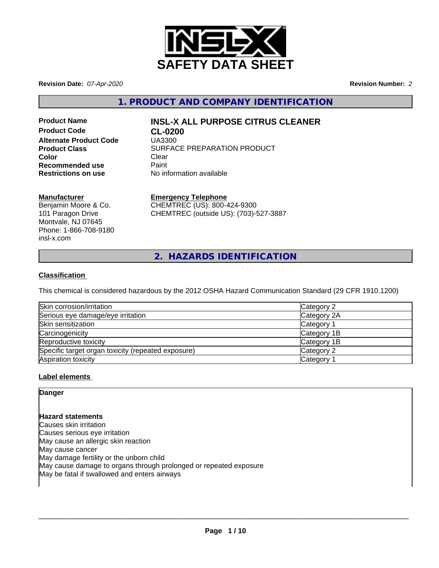

**Revision Date:** *07-Apr-2020* **Revision Number:** *2*

**1. PRODUCT AND COMPANY IDENTIFICATION**

**Product Code CL-0200 Alternate Product Code** UA3300 **Color** Clear Clear **Recommended use** Paint<br> **Restrictions on use** No inf

# **Product Name INSL-X ALL PURPOSE CITRUS CLEANER**

**Product Class SURFACE PREPARATION PRODUCT No information available** 

# **Manufacturer**

Benjamin Moore & Co. 101 Paragon Drive Montvale, NJ 07645 Phone: 1-866-708-9180 insl-x.com

**Emergency Telephone**

CHEMTREC (US): 800-424-9300 CHEMTREC (outside US): (703)-527-3887

**2. HAZARDS IDENTIFICATION**

# **Classification**

This chemical is considered hazardous by the 2012 OSHA Hazard Communication Standard (29 CFR 1910.1200)

| Skin corrosion/irritation                          | Category 2            |
|----------------------------------------------------|-----------------------|
| Serious eye damage/eye irritation                  | Category 2A           |
| Skin sensitization                                 | Category 1            |
| Carcinogenicity                                    | Category 1B           |
| Reproductive toxicity                              | Category 1B           |
| Specific target organ toxicity (repeated exposure) | Category 2            |
| Aspiration toxicity                                | Category <sup>2</sup> |

# **Label elements**

# **Danger**

# **Hazard statements**

Causes skin irritation Causes serious eye irritation May cause an allergic skin reaction May cause cancer May damage fertility or the unborn child May cause damage to organs through prolonged or repeated exposure May be fatal if swallowed and enters airways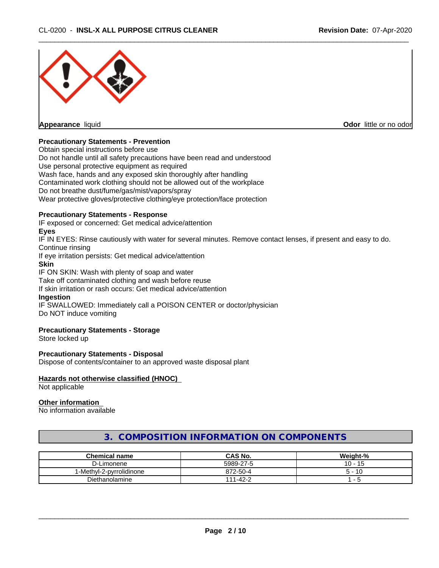

## **Precautionary Statements - Prevention**

Obtain special instructions before use Do not handle until all safety precautions have been read and understood Use personal protective equipment as required Wash face, hands and any exposed skin thoroughly after handling Contaminated work clothing should not be allowed out of the workplace Do not breathe dust/fume/gas/mist/vapors/spray Wear protective gloves/protective clothing/eye protection/face protection

#### **Precautionary Statements - Response**

IF exposed or concerned: Get medical advice/attention

#### **Eyes**

IF IN EYES: Rinse cautiously with water forseveral minutes. Remove contact lenses, if present and easy to do. Continue rinsing

If eye irritation persists: Get medical advice/attention

## **Skin**

IF ON SKIN: Wash with plenty of soap and water

Take off contaminated clothing and wash before reuse

If skin irritation or rash occurs: Get medical advice/attention

## **Ingestion**

IF SWALLOWED: Immediately call a POISON CENTER or doctor/physician Do NOT induce vomiting

#### **Precautionary Statements - Storage**

Store locked up

#### **Precautionary Statements - Disposal**

Dispose of contents/container to an approved waste disposal plant

#### **Hazards not otherwise classified (HNOC)**

Not applicable

## **Other information**

No information available

# **3. COMPOSITION INFORMATION ON COMPONENTS**

| <b>Chemical name</b>     | CAS No.             | Weight-%                 |
|--------------------------|---------------------|--------------------------|
| ∤∟imonene<br>- ا- ب      | 5989-27-5           | 10<br>-4                 |
| 1-Methyl-2-pyrrolidinone | 872-50-4            | $\frac{1}{2}$<br>. .     |
| Diethanolamine           | $1 - 42 - 2$<br>111 | $\overline{\phantom{a}}$ |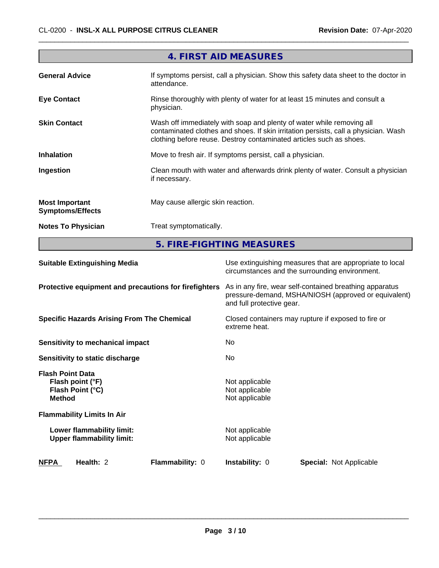|                                                  | 4. FIRST AID MEASURES                                                                                                                                                                                                               |
|--------------------------------------------------|-------------------------------------------------------------------------------------------------------------------------------------------------------------------------------------------------------------------------------------|
| <b>General Advice</b>                            | If symptoms persist, call a physician. Show this safety data sheet to the doctor in<br>attendance.                                                                                                                                  |
| <b>Eye Contact</b>                               | Rinse thoroughly with plenty of water for at least 15 minutes and consult a<br>physician.                                                                                                                                           |
| <b>Skin Contact</b>                              | Wash off immediately with soap and plenty of water while removing all<br>contaminated clothes and shoes. If skin irritation persists, call a physician. Wash<br>clothing before reuse. Destroy contaminated articles such as shoes. |
| <b>Inhalation</b>                                | Move to fresh air. If symptoms persist, call a physician.                                                                                                                                                                           |
| Ingestion                                        | Clean mouth with water and afterwards drink plenty of water. Consult a physician<br>if necessary.                                                                                                                                   |
| <b>Most Important</b><br><b>Symptoms/Effects</b> | May cause allergic skin reaction.                                                                                                                                                                                                   |
| <b>Notes To Physician</b>                        | Treat symptomatically.                                                                                                                                                                                                              |
|                                                  |                                                                                                                                                                                                                                     |

**5. FIRE-FIGHTING MEASURES**

| <b>Suitable Extinguishing Media</b>                                              | Use extinguishing measures that are appropriate to local<br>circumstances and the surrounding environment.                                   |
|----------------------------------------------------------------------------------|----------------------------------------------------------------------------------------------------------------------------------------------|
| Protective equipment and precautions for firefighters                            | As in any fire, wear self-contained breathing apparatus<br>pressure-demand, MSHA/NIOSH (approved or equivalent)<br>and full protective gear. |
| <b>Specific Hazards Arising From The Chemical</b>                                | Closed containers may rupture if exposed to fire or<br>extreme heat.                                                                         |
| Sensitivity to mechanical impact                                                 | No                                                                                                                                           |
| Sensitivity to static discharge                                                  | No.                                                                                                                                          |
| <b>Flash Point Data</b><br>Flash point (°F)<br>Flash Point (°C)<br><b>Method</b> | Not applicable<br>Not applicable<br>Not applicable                                                                                           |
| <b>Flammability Limits In Air</b>                                                |                                                                                                                                              |
| Lower flammability limit:<br><b>Upper flammability limit:</b>                    | Not applicable<br>Not applicable                                                                                                             |
| <b>NFPA</b><br>Health: 2<br><b>Flammability: 0</b>                               | Instability: 0<br><b>Special: Not Applicable</b>                                                                                             |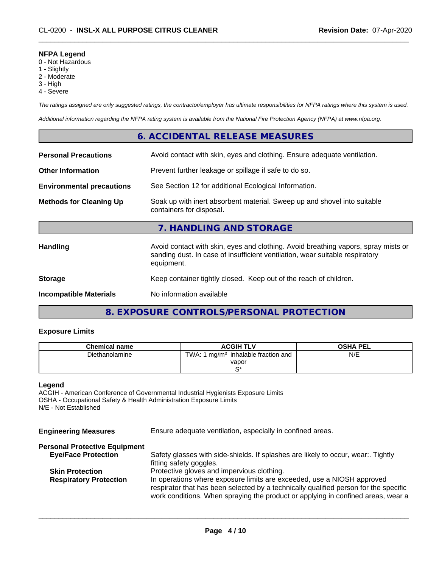## **NFPA Legend**

- 0 Not Hazardous
- 1 Slightly
- 2 Moderate
- 3 High
- 4 Severe

*The ratings assigned are only suggested ratings, the contractor/employer has ultimate responsibilities for NFPA ratings where this system is used.*

*Additional information regarding the NFPA rating system is available from the National Fire Protection Agency (NFPA) at www.nfpa.org.*

# **6. ACCIDENTAL RELEASE MEASURES**

| <b>Personal Precautions</b>      | Avoid contact with skin, eyes and clothing. Ensure adequate ventilation.                                                                                                         |
|----------------------------------|----------------------------------------------------------------------------------------------------------------------------------------------------------------------------------|
| <b>Other Information</b>         | Prevent further leakage or spillage if safe to do so.                                                                                                                            |
| <b>Environmental precautions</b> | See Section 12 for additional Ecological Information.                                                                                                                            |
| <b>Methods for Cleaning Up</b>   | Soak up with inert absorbent material. Sweep up and shovel into suitable<br>containers for disposal.                                                                             |
|                                  | 7. HANDLING AND STORAGE                                                                                                                                                          |
| <b>Handling</b>                  | Avoid contact with skin, eyes and clothing. Avoid breathing vapors, spray mists or<br>sanding dust. In case of insufficient ventilation, wear suitable respiratory<br>equipment. |
| <b>Storage</b>                   | Keep container tightly closed. Keep out of the reach of children.                                                                                                                |
| <b>Incompatible Materials</b>    | No information available                                                                                                                                                         |
|                                  |                                                                                                                                                                                  |

# **8. EXPOSURE CONTROLS/PERSONAL PROTECTION**

# **Exposure Limits**

| <b>Chemical name</b> | <b>ACGIH TLV</b>                                     | <b>OSHA PEL</b> |
|----------------------|------------------------------------------------------|-----------------|
| Diethanolamine       | TWA: 1<br>I mg/m <sup>3</sup> inhalable fraction and | N/E             |
|                      | vapor                                                |                 |
|                      | r*                                                   |                 |

## **Legend**

ACGIH - American Conference of Governmental Industrial Hygienists Exposure Limits OSHA - Occupational Safety & Health Administration Exposure Limits N/E - Not Established

**Engineering Measures** Ensure adequate ventilation, especially in confined areas.

| <b>Personal Protective Equipment</b> |                                                                                      |
|--------------------------------------|--------------------------------------------------------------------------------------|
| <b>Eye/Face Protection</b>           | Safety glasses with side-shields. If splashes are likely to occur, wear Tightly      |
|                                      | fitting safety goggles.                                                              |
| <b>Skin Protection</b>               | Protective gloves and impervious clothing.                                           |
| <b>Respiratory Protection</b>        | In operations where exposure limits are exceeded, use a NIOSH approved               |
|                                      | respirator that has been selected by a technically qualified person for the specific |
|                                      | work conditions. When spraying the product or applying in confined areas, wear a     |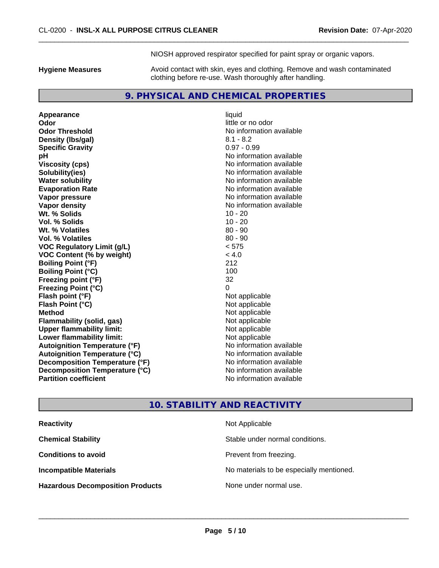NIOSH approved respirator specified for paint spray or organic vapors.

**Hygiene Measures** Avoid contact with skin, eyes and clothing. Remove and wash contaminated clothing before re-use. Wash thoroughly after handling.

# **9. PHYSICAL AND CHEMICAL PROPERTIES**

**Appearance** liquid **Odor** little or no odor **Odor Threshold**<br> **Density (Ibs/gal)**<br> **Density (Ibs/gal)**<br> **No information available**<br>  $8.1 - 8.2$ **Density (lbs/gal)** 8.1 - 8.2<br> **Specific Gravity** 8.1 - 8.2 **Specific Gravity pH**<br>
Viscosity (cps) The Contract of the Contract of the Viscosity (cps) and Viscosity (cps) **Solubility(ies)** No information available **Water solubility Water solubility Water solubility Water solubility No information available Evaporation Rate Evaporation Rate No information available Vapor pressure** No information available **Vapor density Vapor density No information available Wt. % Solids** 10 - 20 **Vol. % Solids** 10 - 20 **Wt. % Volatiles Vol. % Volatiles** 80 - 90 **VOC Regulatory Limit (g/L)** < 575 **VOC Content (% by weight)** < 4.0 **Boiling Point (°F)** 212 **Boiling Point (°C)** 100 **Freezing point (°F)** 32 **Freezing Point (°C)**<br> **Flash point (°F)**<br> **Flash point (°F)**<br> **Point (°F)**<br> **Point (°F)**<br> **Point (°F)**<br> **Point (°F) Flash point (°F)**<br> **Flash Point (°C)**<br> **Flash Point (°C)**<br> **C Flash Point (°C) Method** Not applicable **Flammability (solid, gas)** Not applicable<br> **Upper flammability limit:** Not applicable **Upper flammability limit: Lower flammability limit:** Not applicable **Autoignition Temperature (°F)** No information available **Autoignition Temperature (°C)** No information available **Decomposition Temperature (°F)** No information available **Decomposition Temperature (°C)** No information available **Partition coefficient Contract Contract Contract Contract Contract Contract Contract Contract Contract Contract Contract Contract Contract Contract Contract Contract Contract Contract Contract Contract Contract Contract** 

**Viscosity (cps)** No information available

# **10. STABILITY AND REACTIVITY**

| <b>Reactivity</b>                       | Not Applicable                           |
|-----------------------------------------|------------------------------------------|
| <b>Chemical Stability</b>               | Stable under normal conditions.          |
| <b>Conditions to avoid</b>              | Prevent from freezing.                   |
| <b>Incompatible Materials</b>           | No materials to be especially mentioned. |
| <b>Hazardous Decomposition Products</b> | None under normal use.                   |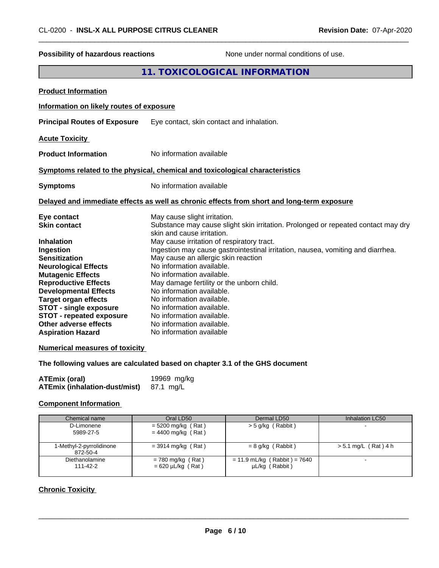| <b>Possibility of hazardous reactions</b>                                                                                                                                                                                                                                                                                                                                      | None under normal conditions of use.                                                                                                                                                                                                                                                                                                                                                                                                                                                                                                                                                                        |
|--------------------------------------------------------------------------------------------------------------------------------------------------------------------------------------------------------------------------------------------------------------------------------------------------------------------------------------------------------------------------------|-------------------------------------------------------------------------------------------------------------------------------------------------------------------------------------------------------------------------------------------------------------------------------------------------------------------------------------------------------------------------------------------------------------------------------------------------------------------------------------------------------------------------------------------------------------------------------------------------------------|
|                                                                                                                                                                                                                                                                                                                                                                                | 11. TOXICOLOGICAL INFORMATION                                                                                                                                                                                                                                                                                                                                                                                                                                                                                                                                                                               |
| <b>Product Information</b>                                                                                                                                                                                                                                                                                                                                                     |                                                                                                                                                                                                                                                                                                                                                                                                                                                                                                                                                                                                             |
| Information on likely routes of exposure                                                                                                                                                                                                                                                                                                                                       |                                                                                                                                                                                                                                                                                                                                                                                                                                                                                                                                                                                                             |
| <b>Principal Routes of Exposure</b>                                                                                                                                                                                                                                                                                                                                            | Eye contact, skin contact and inhalation.                                                                                                                                                                                                                                                                                                                                                                                                                                                                                                                                                                   |
| <b>Acute Toxicity</b>                                                                                                                                                                                                                                                                                                                                                          |                                                                                                                                                                                                                                                                                                                                                                                                                                                                                                                                                                                                             |
| <b>Product Information</b>                                                                                                                                                                                                                                                                                                                                                     | No information available                                                                                                                                                                                                                                                                                                                                                                                                                                                                                                                                                                                    |
|                                                                                                                                                                                                                                                                                                                                                                                | Symptoms related to the physical, chemical and toxicological characteristics                                                                                                                                                                                                                                                                                                                                                                                                                                                                                                                                |
| <b>Symptoms</b>                                                                                                                                                                                                                                                                                                                                                                | No information available                                                                                                                                                                                                                                                                                                                                                                                                                                                                                                                                                                                    |
|                                                                                                                                                                                                                                                                                                                                                                                | Delayed and immediate effects as well as chronic effects from short and long-term exposure                                                                                                                                                                                                                                                                                                                                                                                                                                                                                                                  |
| Eye contact<br><b>Skin contact</b><br><b>Inhalation</b><br>Ingestion<br><b>Sensitization</b><br><b>Neurological Effects</b><br><b>Mutagenic Effects</b><br><b>Reproductive Effects</b><br><b>Developmental Effects</b><br><b>Target organ effects</b><br><b>STOT - single exposure</b><br><b>STOT - repeated exposure</b><br>Other adverse effects<br><b>Aspiration Hazard</b> | May cause slight irritation.<br>Substance may cause slight skin irritation. Prolonged or repeated contact may dry<br>skin and cause irritation.<br>May cause irritation of respiratory tract.<br>Ingestion may cause gastrointestinal irritation, nausea, vomiting and diarrhea.<br>May cause an allergic skin reaction<br>No information available.<br>No information available.<br>May damage fertility or the unborn child.<br>No information available.<br>No information available.<br>No information available.<br>No information available.<br>No information available.<br>No information available |
| <b>Numerical measures of toxicity</b>                                                                                                                                                                                                                                                                                                                                          |                                                                                                                                                                                                                                                                                                                                                                                                                                                                                                                                                                                                             |
|                                                                                                                                                                                                                                                                                                                                                                                | The following values are calculated based on chapter 3.1 of the GHS document                                                                                                                                                                                                                                                                                                                                                                                                                                                                                                                                |
| <b>ATEmix (oral)</b><br><b>ATEmix (inhalation-dust/mist)</b>                                                                                                                                                                                                                                                                                                                   | 19969 mg/kg<br>87.1 mg/L                                                                                                                                                                                                                                                                                                                                                                                                                                                                                                                                                                                    |

# **Component Information**

| Chemical name                        | Oral LD50                                     | Dermal LD50                                      | Inhalation LC50        |
|--------------------------------------|-----------------------------------------------|--------------------------------------------------|------------------------|
| D-Limonene<br>5989-27-5              | $= 5200$ mg/kg (Rat)<br>$= 4400$ mg/kg (Rat)  | $>$ 5 g/kg (Rabbit)                              |                        |
| 1-Methyl-2-pyrrolidinone<br>872-50-4 | $=$ 3914 mg/kg (Rat)                          | $= 8$ g/kg (Rabbit)                              | $> 5.1$ mg/L (Rat) 4 h |
| Diethanolamine<br>111-42-2           | $= 780$ mg/kg (Rat)<br>$= 620 \mu L/kg$ (Rat) | $= 11.9$ mL/kg (Rabbit) = 7640<br>µL/kg (Rabbit) |                        |

# **Chronic Toxicity**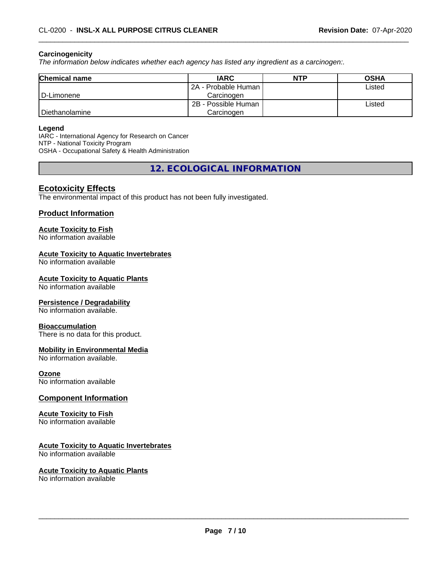#### **Carcinogenicity**

*The information below indicateswhether each agency has listed any ingredient as a carcinogen:.*

| <b>Chemical name</b> | <b>IARC</b>         | <b>NTP</b> | <b>OSHA</b> |
|----------------------|---------------------|------------|-------------|
|                      | 2A - Probable Human |            | Listed      |
| D-Limonene           | Carcinoɑen          |            |             |
|                      | 2B - Possible Human |            | Listed      |
| Diethanolamine       | Carcinoɑen          |            |             |

#### **Legend**

IARC - International Agency for Research on Cancer NTP - National Toxicity Program OSHA - Occupational Safety & Health Administration

**12. ECOLOGICAL INFORMATION**

# **Ecotoxicity Effects**

The environmental impact of this product has not been fully investigated.

#### **Product Information**

# **Acute Toxicity to Fish**

No information available

#### **Acute Toxicity to Aquatic Invertebrates**

No information available

#### **Acute Toxicity to Aquatic Plants**

No information available

#### **Persistence / Degradability**

No information available.

#### **Bioaccumulation**

There is no data for this product.

#### **Mobility in Environmental Media**

No information available.

#### **Ozone**

No information available

#### **Component Information**

#### **Acute Toxicity to Fish**

No information available

# **Acute Toxicity to Aquatic Invertebrates**

No information available

#### **Acute Toxicity to Aquatic Plants**

No information available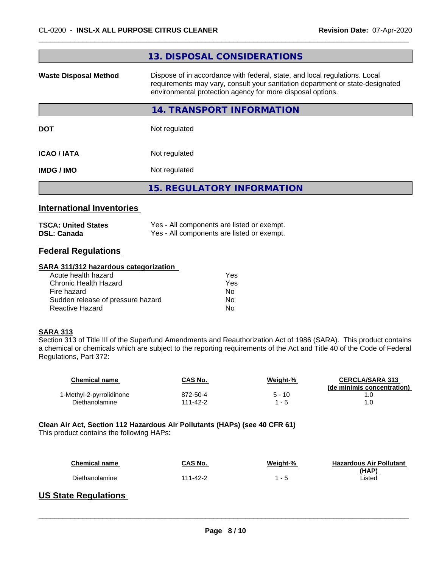|                                  | 13. DISPOSAL CONSIDERATIONS                                                                                                                                                                                               |
|----------------------------------|---------------------------------------------------------------------------------------------------------------------------------------------------------------------------------------------------------------------------|
| <b>Waste Disposal Method</b>     | Dispose of in accordance with federal, state, and local regulations. Local<br>requirements may vary, consult your sanitation department or state-designated<br>environmental protection agency for more disposal options. |
|                                  | 14. TRANSPORT INFORMATION                                                                                                                                                                                                 |
| <b>DOT</b>                       | Not regulated                                                                                                                                                                                                             |
| <b>ICAO / IATA</b>               | Not regulated                                                                                                                                                                                                             |
| IMDG / IMO                       | Not regulated                                                                                                                                                                                                             |
|                                  | <b>15. REGULATORY INFORMATION</b>                                                                                                                                                                                         |
| <b>International Inventories</b> |                                                                                                                                                                                                                           |

| <b>TSCA: United States</b> | Yes - All components are listed or exempt. |
|----------------------------|--------------------------------------------|
| <b>DSL: Canada</b>         | Yes - All components are listed or exempt. |

# **Federal Regulations**

#### **SARA 311/312 hazardous categorization**

| Acute health hazard               | Yes |
|-----------------------------------|-----|
| Chronic Health Hazard             | Yes |
| Fire hazard                       | Nο  |
| Sudden release of pressure hazard | Nο  |
| Reactive Hazard                   | Nο  |

## **SARA 313**

Section 313 of Title III of the Superfund Amendments and Reauthorization Act of 1986 (SARA). This product contains a chemical or chemicals which are subject to the reporting requirements of the Act and Title 40 of the Code of Federal Regulations, Part 372:

| Chemical name            | CAS No.  | Weight-% | <b>CERCLA/SARA 313</b><br>(de minimis concentration) |
|--------------------------|----------|----------|------------------------------------------------------|
| 1-Methyl-2-pyrrolidinone | 872-50-4 | $5 - 10$ |                                                      |
| Diethanolamine           | 111-42-2 | - 5      |                                                      |

#### **Clean Air Act,Section 112 Hazardous Air Pollutants (HAPs) (see 40 CFR 61)**

This product contains the following HAPs:

| Chemical name  | CAS No.  | Weight-% | <b>Hazardous Air Pollutant</b> |
|----------------|----------|----------|--------------------------------|
| Diethanolamine | 111-42-2 | - 5      | (HAP)<br>.isted                |

 $\overline{\phantom{a}}$  ,  $\overline{\phantom{a}}$  ,  $\overline{\phantom{a}}$  ,  $\overline{\phantom{a}}$  ,  $\overline{\phantom{a}}$  ,  $\overline{\phantom{a}}$  ,  $\overline{\phantom{a}}$  ,  $\overline{\phantom{a}}$  ,  $\overline{\phantom{a}}$  ,  $\overline{\phantom{a}}$  ,  $\overline{\phantom{a}}$  ,  $\overline{\phantom{a}}$  ,  $\overline{\phantom{a}}$  ,  $\overline{\phantom{a}}$  ,  $\overline{\phantom{a}}$  ,  $\overline{\phantom{a}}$ 

# **US State Regulations**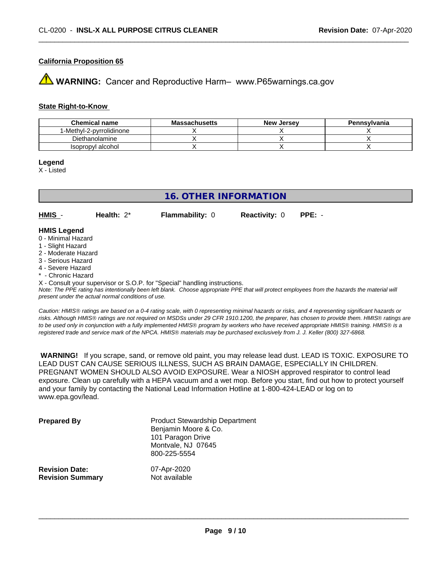## **California Proposition 65**

**WARNING:** Cancer and Reproductive Harm– www.P65warnings.ca.gov

#### **State Right-to-Know**

| <b>Chemical name</b>     | <b>Massachusetts</b> | <b>New Jersey</b> | Pennsylvania |
|--------------------------|----------------------|-------------------|--------------|
| 1-Methyl-2-pyrrolidinone |                      |                   |              |
| Diethanolamine           |                      |                   |              |
| Isopropyl alcohol        |                      |                   |              |

**Legend**

X - Listed

# **16. OTHER INFORMATION**

**HMIS** - **Health:** 2\* **Flammability:** 0 **Reactivity:** 0 **PPE:** -

#### **HMIS Legend**

- 0 Minimal Hazard
- 1 Slight Hazard
- 2 Moderate Hazard
- 3 Serious Hazard
- 4 Severe Hazard
- \* Chronic Hazard

X - Consult your supervisor or S.O.P. for "Special" handling instructions.

*Note: The PPE rating has intentionally been left blank. Choose appropriate PPE that will protect employees from the hazards the material will present under the actual normal conditions of use.*

*Caution: HMISÒ ratings are based on a 0-4 rating scale, with 0 representing minimal hazards or risks, and 4 representing significant hazards or risks. Although HMISÒ ratings are not required on MSDSs under 29 CFR 1910.1200, the preparer, has chosen to provide them. HMISÒ ratings are to be used only in conjunction with a fully implemented HMISÒ program by workers who have received appropriate HMISÒ training. HMISÒ is a registered trade and service mark of the NPCA. HMISÒ materials may be purchased exclusively from J. J. Keller (800) 327-6868.*

 **WARNING!** If you scrape, sand, or remove old paint, you may release lead dust. LEAD IS TOXIC. EXPOSURE TO LEAD DUST CAN CAUSE SERIOUS ILLNESS, SUCH AS BRAIN DAMAGE, ESPECIALLY IN CHILDREN. PREGNANT WOMEN SHOULD ALSO AVOID EXPOSURE.Wear a NIOSH approved respirator to control lead exposure. Clean up carefully with a HEPA vacuum and a wet mop. Before you start, find out how to protect yourself and your family by contacting the National Lead Information Hotline at 1-800-424-LEAD or log on to www.epa.gov/lead.

| <b>Prepared By</b>      | <b>Product Stewardship Department</b><br>Benjamin Moore & Co.<br>101 Paragon Drive<br>Montvale, NJ 07645<br>800-225-5554 |
|-------------------------|--------------------------------------------------------------------------------------------------------------------------|
| <b>Revision Date:</b>   | 07-Apr-2020                                                                                                              |
| <b>Revision Summary</b> | Not available                                                                                                            |